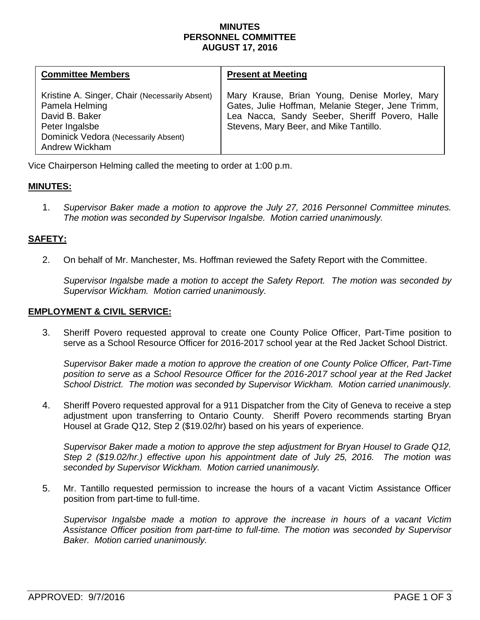## **MINUTES PERSONNEL COMMITTEE AUGUST 17, 2016**

| <b>Committee Members</b>                                                                                                                                              | <b>Present at Meeting</b>                                                                                                                                                                      |
|-----------------------------------------------------------------------------------------------------------------------------------------------------------------------|------------------------------------------------------------------------------------------------------------------------------------------------------------------------------------------------|
| Kristine A. Singer, Chair (Necessarily Absent)<br>Pamela Helming<br>David B. Baker<br>Peter Ingalsbe<br>Dominick Vedora (Necessarily Absent)<br><b>Andrew Wickham</b> | Mary Krause, Brian Young, Denise Morley, Mary<br>Gates, Julie Hoffman, Melanie Steger, Jene Trimm,<br>Lea Nacca, Sandy Seeber, Sheriff Povero, Halle<br>Stevens, Mary Beer, and Mike Tantillo. |

Vice Chairperson Helming called the meeting to order at 1:00 p.m.

# **MINUTES:**

1. *Supervisor Baker made a motion to approve the July 27, 2016 Personnel Committee minutes. The motion was seconded by Supervisor Ingalsbe. Motion carried unanimously.*

# **SAFETY:**

2. On behalf of Mr. Manchester, Ms. Hoffman reviewed the Safety Report with the Committee.

*Supervisor Ingalsbe made a motion to accept the Safety Report. The motion was seconded by Supervisor Wickham. Motion carried unanimously.* 

### **EMPLOYMENT & CIVIL SERVICE:**

3. Sheriff Povero requested approval to create one County Police Officer, Part-Time position to serve as a School Resource Officer for 2016-2017 school year at the Red Jacket School District.

*Supervisor Baker made a motion to approve the creation of one County Police Officer, Part-Time position to serve as a School Resource Officer for the 2016-2017 school year at the Red Jacket School District. The motion was seconded by Supervisor Wickham. Motion carried unanimously.* 

4. Sheriff Povero requested approval for a 911 Dispatcher from the City of Geneva to receive a step adjustment upon transferring to Ontario County. Sheriff Povero recommends starting Bryan Housel at Grade Q12, Step 2 (\$19.02/hr) based on his years of experience.

*Supervisor Baker made a motion to approve the step adjustment for Bryan Housel to Grade Q12, Step 2 (\$19.02/hr.) effective upon his appointment date of July 25, 2016. The motion was seconded by Supervisor Wickham. Motion carried unanimously.* 

5. Mr. Tantillo requested permission to increase the hours of a vacant Victim Assistance Officer position from part-time to full-time.

*Supervisor Ingalsbe made a motion to approve the increase in hours of a vacant Victim Assistance Officer position from part-time to full-time. The motion was seconded by Supervisor Baker. Motion carried unanimously.*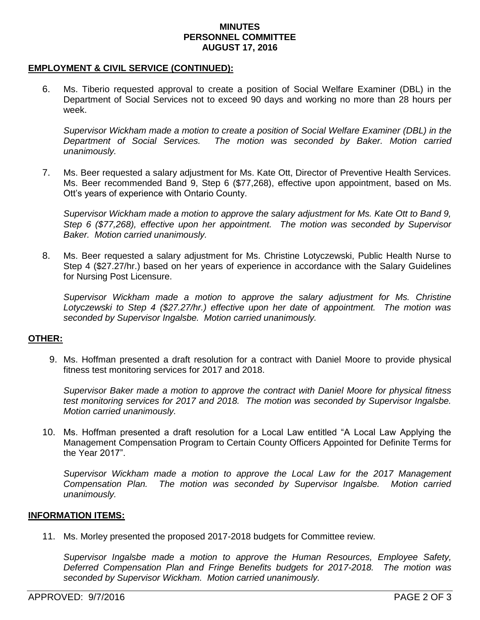#### **MINUTES PERSONNEL COMMITTEE AUGUST 17, 2016**

#### **EMPLOYMENT & CIVIL SERVICE (CONTINUED):**

6. Ms. Tiberio requested approval to create a position of Social Welfare Examiner (DBL) in the Department of Social Services not to exceed 90 days and working no more than 28 hours per week.

*Supervisor Wickham made a motion to create a position of Social Welfare Examiner (DBL) in the Department of Social Services. The motion was seconded by Baker. Motion carried unanimously.*

7. Ms. Beer requested a salary adjustment for Ms. Kate Ott, Director of Preventive Health Services. Ms. Beer recommended Band 9, Step 6 (\$77,268), effective upon appointment, based on Ms. Ott's years of experience with Ontario County.

*Supervisor Wickham made a motion to approve the salary adjustment for Ms. Kate Ott to Band 9, Step 6 (\$77,268), effective upon her appointment. The motion was seconded by Supervisor Baker. Motion carried unanimously.* 

8. Ms. Beer requested a salary adjustment for Ms. Christine Lotyczewski, Public Health Nurse to Step 4 (\$27.27/hr.) based on her years of experience in accordance with the Salary Guidelines for Nursing Post Licensure.

*Supervisor Wickham made a motion to approve the salary adjustment for Ms. Christine Lotyczewski to Step 4 (\$27.27/hr.) effective upon her date of appointment. The motion was seconded by Supervisor Ingalsbe. Motion carried unanimously.* 

### **OTHER:**

9. Ms. Hoffman presented a draft resolution for a contract with Daniel Moore to provide physical fitness test monitoring services for 2017 and 2018.

*Supervisor Baker made a motion to approve the contract with Daniel Moore for physical fitness test monitoring services for 2017 and 2018. The motion was seconded by Supervisor Ingalsbe. Motion carried unanimously.*

10. Ms. Hoffman presented a draft resolution for a Local Law entitled "A Local Law Applying the Management Compensation Program to Certain County Officers Appointed for Definite Terms for the Year 2017".

*Supervisor Wickham made a motion to approve the Local Law for the 2017 Management Compensation Plan. The motion was seconded by Supervisor Ingalsbe. Motion carried unanimously.*

#### **INFORMATION ITEMS:**

11. Ms. Morley presented the proposed 2017-2018 budgets for Committee review.

*Supervisor Ingalsbe made a motion to approve the Human Resources, Employee Safety, Deferred Compensation Plan and Fringe Benefits budgets for 2017-2018. The motion was seconded by Supervisor Wickham. Motion carried unanimously.*